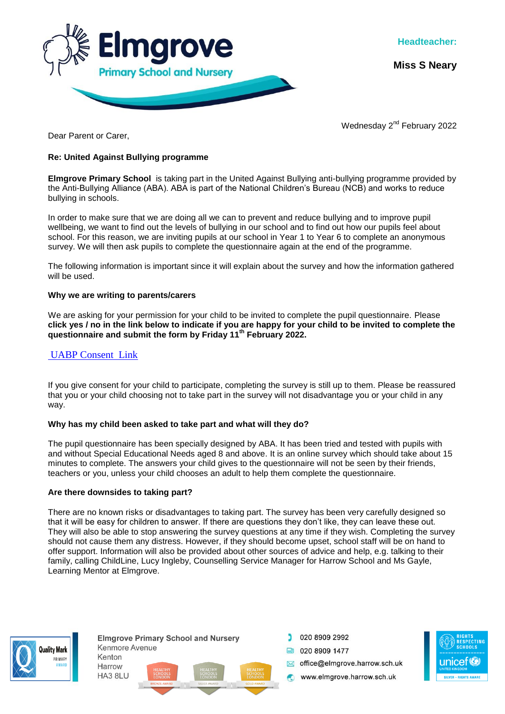

**Miss S Neary**

Wednesday 2<sup>nd</sup> February 2022

Dear Parent or Carer,

# **Re: United Against Bullying programme**

**Elmgrove Primary School** is taking part in the United Against Bullying anti-bullying programme provided by the Anti-Bullying Alliance (ABA). ABA is part of the National Children's Bureau (NCB) and works to reduce bullying in schools.

In order to make sure that we are doing all we can to prevent and reduce bullying and to improve pupil wellbeing, we want to find out the levels of bullying in our school and to find out how our pupils feel about school. For this reason, we are inviting pupils at our school in Year 1 to Year 6 to complete an anonymous survey. We will then ask pupils to complete the questionnaire again at the end of the programme.

The following information is important since it will explain about the survey and how the information gathered will be used.

## **Why we are writing to parents/carers**

We are asking for your permission for your child to be invited to complete the pupil questionnaire. Please **click yes / no in the link below to indicate if you are happy for your child to be invited to complete the questionnaire and submit the form by Friday 11th February 2022.**

# [UABP Consent Link](https://forms.office.com/r/caM9awrwai)

If you give consent for your child to participate, completing the survey is still up to them. Please be reassured that you or your child choosing not to take part in the survey will not disadvantage you or your child in any way.

### **Why has my child been asked to take part and what will they do?**

The pupil questionnaire has been specially designed by ABA. It has been tried and tested with pupils with and without Special Educational Needs aged 8 and above. It is an online survey which should take about 15 minutes to complete. The answers your child gives to the questionnaire will not be seen by their friends, teachers or you, unless your child chooses an adult to help them complete the questionnaire.

### **Are there downsides to taking part?**

There are no known risks or disadvantages to taking part. The survey has been very carefully designed so that it will be easy for children to answer. If there are questions they don't like, they can leave these out. They will also be able to stop answering the survey questions at any time if they wish. Completing the survey should not cause them any distress. However, if they should become upset, school staff will be on hand to offer support. Information will also be provided about other sources of advice and help, e.g. talking to their family, calling ChildLine, Lucy Ingleby, Counselling Service Manager for Harrow School and Ms Gayle, Learning Mentor at Elmgrove.